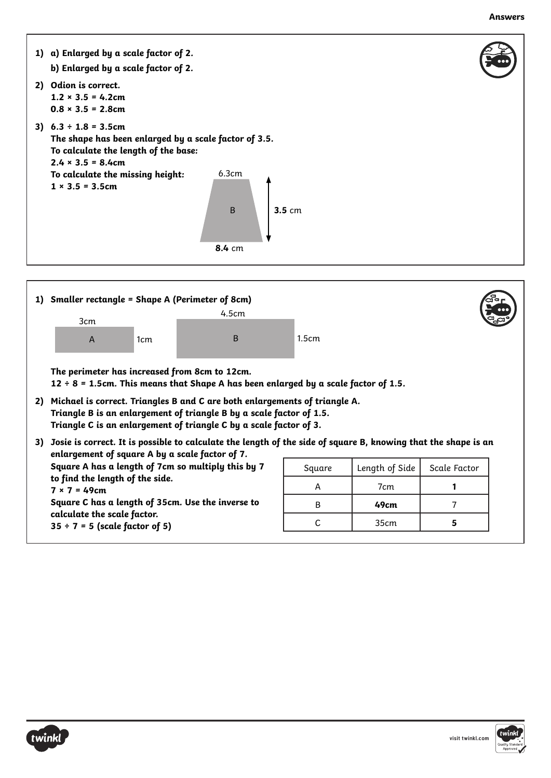